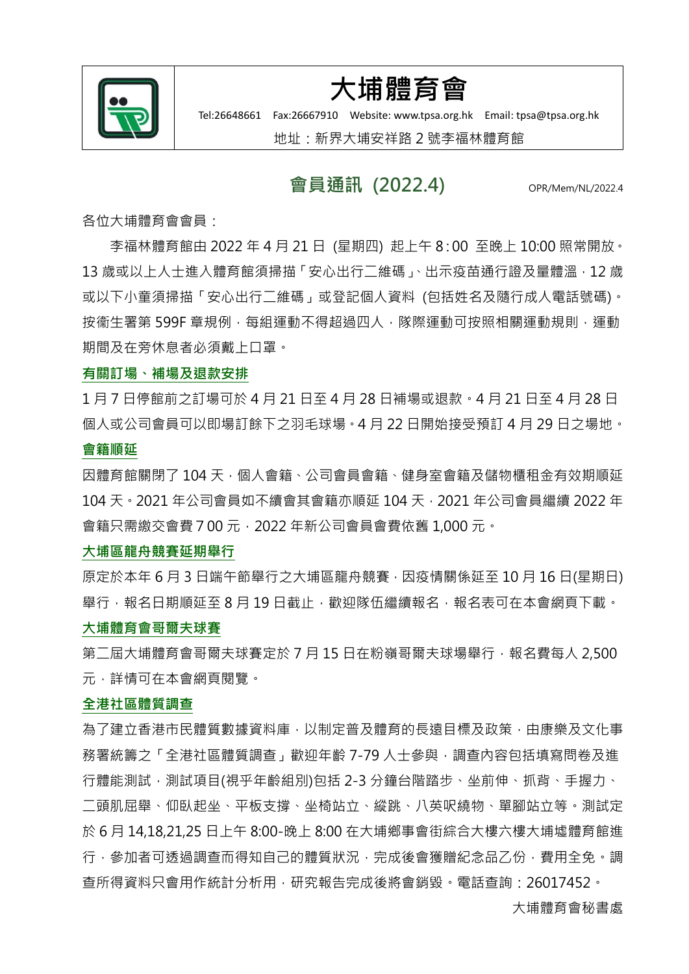

## 大埔體育會

Tel:26648661 Fax:26667910 Website: www.tpsa.org.hk Email[: tpsa@tpsa.org.hk](mailto:tpsa@tpsa.org.hk)

地址:新界大埔安祥路 2 號李福林體育館

### 會員通訊 (2022.4) opr/Mem/NL/2022.4

各位大埔體育會會員:

李福林體育館由 2022 年 4 月 21 日 (星期四) 起上午 8:00 至晚上 10:00 照常開放。 13 歲或以上人士進入體育館須掃描「安心出行二維碼」、出示疫苗通行證及量體溫, 12 歲 或以下小童須掃描「安心出行二維碼」或登記個人資料 (包括姓名及隨行成人電話號碼)。 按衞生署第 599F 章規例, 每組運動不得超過四人, 隊際運動可按照相關運動規則, 運動 期間及在旁休息者必須戴上口罩。

### 有關訂場、補場及退款安排

1 月 7 日停館前之訂場可於 4 月 21 日至 4 月 28 日補場或退款。4 月 21 日至 4 月 28 日 個人或公司會員可以即場訂餘下之羽毛球場。4 月 22 日開始接受預訂 4 月 29 日之場地。

### 會籍順延

因體育館關閉了 104 天, 個人會籍、公司會員會籍、健身室會籍及儲物櫃租金有效期順延 104 天 · 2021 年公司會員如不續會其會籍亦順延 104 天 · 2021 年公司會員繼續 2022 年 會籍只需繳交會費700 元,2022 年新公司會員會費依舊 1,000 元。

### 大埔區龍舟競賽延期舉行

原定於本年 6 月 3 日端午節舉行之大埔區龍舟競賽,因疫情關係延至 10 月 16 日(星期日) 舉行,報名日期順延至8月19日截止,歡迎隊伍繼續報名,報名表可在本會網頁下載。

### 大埔體育會哥爾夫球賽

筆一屆大埔體育會哥爾夫球賽定於 7 月 15 日在粉嶺哥爾夫球場舉行,報名費每人 2,500 元,詳情可在本會網頁閱覽。

#### 全港社區體質調查

為了建立香港市民體質數據資料庫,以制定普及體育的長遠目標及政策,由康樂及文化事 務署統籌之「全港社區體質調查」歡迎年齡 7-79 人十參與,調查內容包括填寫問卷及進 行體能測試,測試項目(視乎年齡組別)包括 2-3 分鐘台階踏步、坐前伸、抓背、手握力、 二頭肌屈舉、仰臥起坐、平板支撐、坐椅站立、縱跳、八英呎繞物、單腳站立等。測試定 於 6 月 14,18,21,25 日上午 8:00-晚上 8:00 在大埔鄉事會街綜合大樓六樓大埔墟體育館進 行,參加者可透過調查而得知自己的體質狀況,完成後會獲贈紀念品乙份,費用全免。調 查所得資料只會用作統計分析用,研究報告完成後將會銷毀。電話查詢:26017452。

大埔體育會秘書處